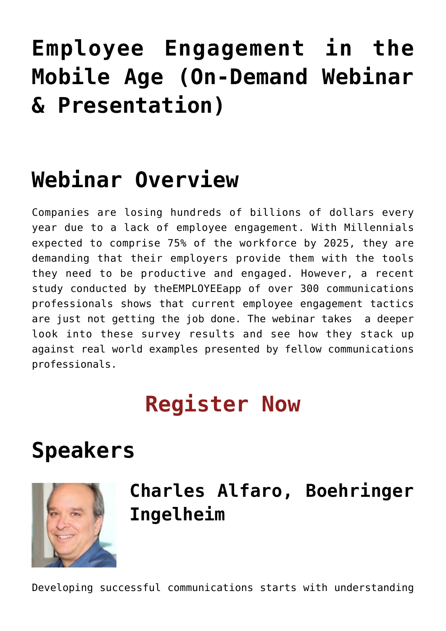# **[Employee Engagement in the](https://www.commpro.biz/employee-engagement-in-the-mobile-age-free-webinar/) [Mobile Age \(On-Demand Webinar](https://www.commpro.biz/employee-engagement-in-the-mobile-age-free-webinar/) [& Presentation\)](https://www.commpro.biz/employee-engagement-in-the-mobile-age-free-webinar/)**

## **Webinar Overview**

Companies are losing hundreds of billions of dollars every year due to a lack of employee engagement. With Millennials expected to comprise 75% of the workforce by 2025, they are demanding that their employers provide them with the tools they need to be productive and engaged. However, a recent study conducted by theEMPLOYEEapp of over 300 communications professionals shows that current employee engagement tactics are just not getting the job done. The webinar takes a deeper look into these survey results and see how they stack up against real world examples presented by fellow communications professionals.

## **[Register Now](https://www.webcaster4.com/Webcast/Page/10/11615)**

### **Speakers**



**Charles Alfaro, Boehringer Ingelheim**

Developing successful communications starts with understanding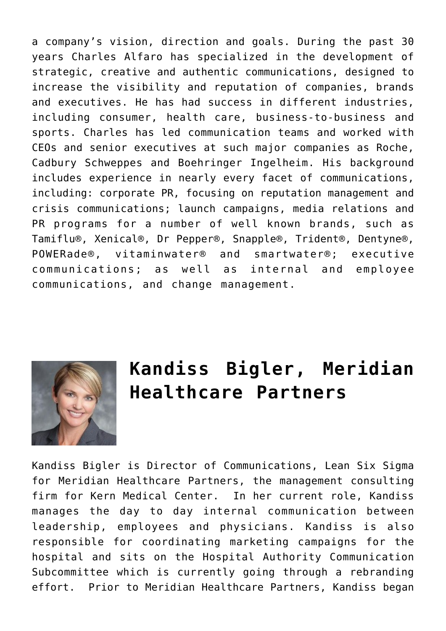a company's vision, direction and goals. During the past 30 years Charles Alfaro has specialized in the development of strategic, creative and authentic communications, designed to increase the visibility and reputation of companies, brands and executives. He has had success in different industries, including consumer, health care, business-to-business and sports. Charles has led communication teams and worked with CEOs and senior executives at such major companies as Roche, Cadbury Schweppes and Boehringer Ingelheim. His background includes experience in nearly every facet of communications, including: corporate PR, focusing on reputation management and crisis communications; launch campaigns, media relations and PR programs for a number of well known brands, such as Tamiflu®, Xenical®, Dr Pepper®, Snapple®, Trident®, Dentyne®, POWERade®, vitaminwater® and smartwater®; executive communications; as well as internal and employee communications, and change management.



#### **Kandiss Bigler, Meridian Healthcare Partners**

Kandiss Bigler is Director of Communications, Lean Six Sigma for Meridian Healthcare Partners, the management consulting firm for Kern Medical Center. In her current role, Kandiss manages the day to day internal communication between leadership, employees and physicians. Kandiss is also responsible for coordinating marketing campaigns for the hospital and sits on the Hospital Authority Communication Subcommittee which is currently going through a rebranding effort. Prior to Meridian Healthcare Partners, Kandiss began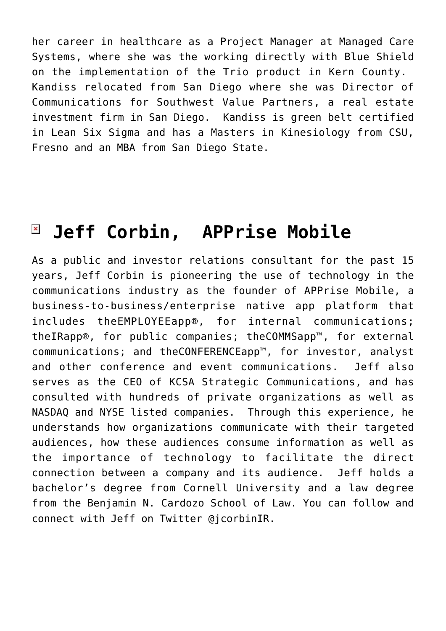her career in healthcare as a Project Manager at Managed Care Systems, where she was the working directly with Blue Shield on the implementation of the Trio product in Kern County. Kandiss relocated from San Diego where she was Director of Communications for Southwest Value Partners, a real estate investment firm in San Diego. Kandiss is green belt certified in Lean Six Sigma and has a Masters in Kinesiology from CSU, Fresno and an MBA from San Diego State.

#### **Jeff Corbin, APPrise Mobile**

As a public and investor relations consultant for the past 15 years, Jeff Corbin is pioneering the use of technology in the communications industry as the founder of APPrise Mobile, a business-to-business/enterprise native app platform that includes theEMPLOYEEapp®, for internal communications; theIRapp®, for public companies; theCOMMSapp™, for external communications; and theCONFERENCEapp™, for investor, analyst and other conference and event communications. Jeff also serves as the CEO of KCSA Strategic Communications, and has consulted with hundreds of private organizations as well as NASDAQ and NYSE listed companies. Through this experience, he understands how organizations communicate with their targeted audiences, how these audiences consume information as well as the importance of technology to facilitate the direct connection between a company and its audience. Jeff holds a bachelor's degree from Cornell University and a law degree from the Benjamin N. Cardozo School of Law. You can follow and connect with Jeff on Twitter @jcorbinIR.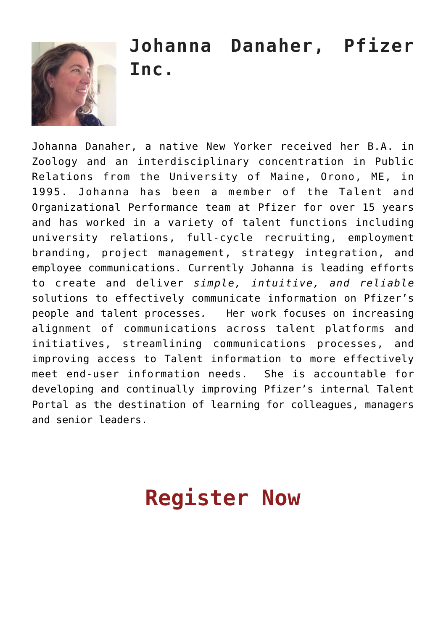

### **Johanna Danaher, Pfizer Inc.**

Johanna Danaher, a native New Yorker received her B.A. in Zoology and an interdisciplinary concentration in Public Relations from the University of Maine, Orono, ME, in 1995. Johanna has been a member of the Talent and Organizational Performance team at Pfizer for over 15 years and has worked in a variety of talent functions including university relations, full-cycle recruiting, employment branding, project management, strategy integration, and employee communications. Currently Johanna is leading efforts to create and deliver *simple, intuitive, and reliable* solutions to effectively communicate information on Pfizer's people and talent processes*.* Her work focuses on increasing alignment of communications across talent platforms and initiatives, streamlining communications processes, and improving access to Talent information to more effectively meet end-user information needs. She is accountable for developing and continually improving Pfizer's internal Talent Portal as the destination of learning for colleagues, managers and senior leaders.

## **[Register Now](https://www.webcaster4.com/Webcast/Page/10/11615)**